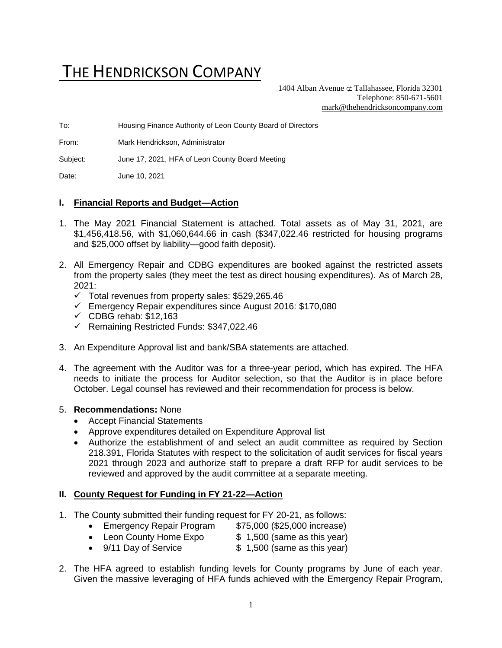# THE HENDRICKSON COMPANY

1404 Alban Avenue  $\sigma$  Tallahassee, Florida 32301 Telephone: 850-671-5601 [mark@thehendricksoncompany.com](mailto:mark@thehendricksoncompany.com)

To: Housing Finance Authority of Leon County Board of Directors

From: Mark Hendrickson, Administrator

Subject: June 17, 2021, HFA of Leon County Board Meeting

Date: June 10, 2021

#### **I. Financial Reports and Budget—Action**

- 1. The May 2021 Financial Statement is attached. Total assets as of May 31, 2021, are \$1,456,418.56, with \$1,060,644.66 in cash (\$347,022.46 restricted for housing programs and \$25,000 offset by liability—good faith deposit).
- 2. All Emergency Repair and CDBG expenditures are booked against the restricted assets from the property sales (they meet the test as direct housing expenditures). As of March 28,  $2021$ 
	- $\checkmark$  Total revenues from property sales: \$529,265.46
	- ✓ Emergency Repair expenditures since August 2016: \$170,080
	- $\checkmark$  CDBG rehab: \$12,163
	- ✓ Remaining Restricted Funds: \$347,022.46
- 3. An Expenditure Approval list and bank/SBA statements are attached.
- 4. The agreement with the Auditor was for a three-year period, which has expired. The HFA needs to initiate the process for Auditor selection, so that the Auditor is in place before October. Legal counsel has reviewed and their recommendation for process is below.

#### 5. **Recommendations:** None

- Accept Financial Statements
- Approve expenditures detailed on Expenditure Approval list
- Authorize the establishment of and select an audit committee as required by Section 218.391, Florida Statutes with respect to the solicitation of audit services for fiscal years 2021 through 2023 and authorize staff to prepare a draft RFP for audit services to be reviewed and approved by the audit committee at a separate meeting.

#### **II. County Request for Funding in FY 21-22—Action**

- 1. The County submitted their funding request for FY 20-21, as follows:
	- Emergency Repair Program \$75,000 (\$25,000 increase)
	- Leon County Home Expo  $$ 1,500$  (same as this year)
	- 9/11 Day of Service \$ 1,500 (same as this year)
- 2. The HFA agreed to establish funding levels for County programs by June of each year. Given the massive leveraging of HFA funds achieved with the Emergency Repair Program,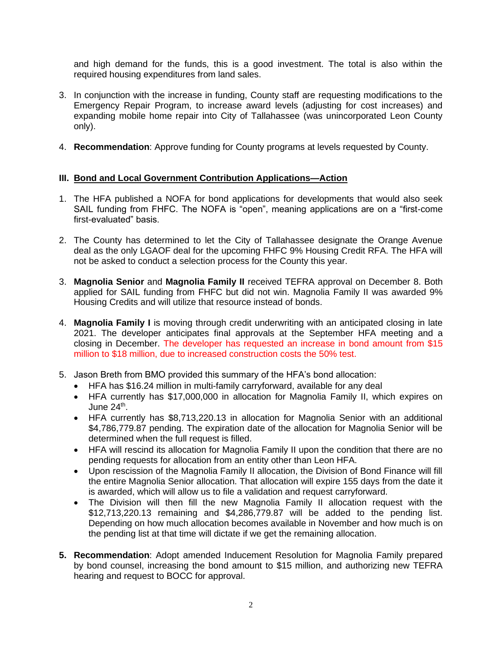and high demand for the funds, this is a good investment. The total is also within the required housing expenditures from land sales.

- 3. In conjunction with the increase in funding, County staff are requesting modifications to the Emergency Repair Program, to increase award levels (adjusting for cost increases) and expanding mobile home repair into City of Tallahassee (was unincorporated Leon County only).
- 4. **Recommendation**: Approve funding for County programs at levels requested by County.

### **III. Bond and Local Government Contribution Applications—Action**

- 1. The HFA published a NOFA for bond applications for developments that would also seek SAIL funding from FHFC. The NOFA is "open", meaning applications are on a "first-come first-evaluated" basis.
- 2. The County has determined to let the City of Tallahassee designate the Orange Avenue deal as the only LGAOF deal for the upcoming FHFC 9% Housing Credit RFA. The HFA will not be asked to conduct a selection process for the County this year.
- 3. **Magnolia Senior** and **Magnolia Family II** received TEFRA approval on December 8. Both applied for SAIL funding from FHFC but did not win. Magnolia Family II was awarded 9% Housing Credits and will utilize that resource instead of bonds.
- 4. **Magnolia Family I** is moving through credit underwriting with an anticipated closing in late 2021. The developer anticipates final approvals at the September HFA meeting and a closing in December. The developer has requested an increase in bond amount from \$15 million to \$18 million, due to increased construction costs the 50% test.
- 5. Jason Breth from BMO provided this summary of the HFA's bond allocation:
	- HFA has \$16.24 million in multi-family carryforward, available for any deal
	- HFA currently has \$17,000,000 in allocation for Magnolia Family II, which expires on June 24<sup>th</sup>.
	- HFA currently has \$8,713,220.13 in allocation for Magnolia Senior with an additional \$4,786,779.87 pending. The expiration date of the allocation for Magnolia Senior will be determined when the full request is filled.
	- HFA will rescind its allocation for Magnolia Family II upon the condition that there are no pending requests for allocation from an entity other than Leon HFA.
	- Upon rescission of the Magnolia Family II allocation, the Division of Bond Finance will fill the entire Magnolia Senior allocation. That allocation will expire 155 days from the date it is awarded, which will allow us to file a validation and request carryforward.
	- The Division will then fill the new Magnolia Family II allocation request with the \$12,713,220.13 remaining and \$4,286,779.87 will be added to the pending list. Depending on how much allocation becomes available in November and how much is on the pending list at that time will dictate if we get the remaining allocation.
- **5. Recommendation**: Adopt amended Inducement Resolution for Magnolia Family prepared by bond counsel, increasing the bond amount to \$15 million, and authorizing new TEFRA hearing and request to BOCC for approval.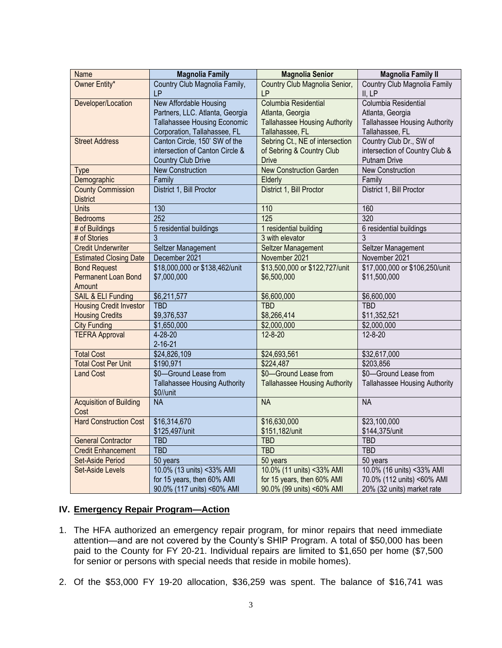| <b>Name</b>                    | <b>Magnolia Family</b>               | <b>Magnolia Senior</b>               | <b>Magnolia Family II</b>            |
|--------------------------------|--------------------------------------|--------------------------------------|--------------------------------------|
| Owner Entity*                  | Country Club Magnolia Family,        | Country Club Magnolia Senior,        | Country Club Magnolia Family         |
|                                | LP                                   | LP                                   | II, LP                               |
| Developer/Location             | New Affordable Housing               | Columbia Residential                 | Columbia Residential                 |
|                                | Partners, LLC. Atlanta, Georgia      | Atlanta, Georgia                     | Atlanta, Georgia                     |
|                                | Tallahassee Housing Economic         | <b>Tallahassee Housing Authority</b> | Tallahassee Housing Authority        |
|                                | Corporation, Tallahassee, FL         | Tallahassee, FL                      | Tallahassee, FL                      |
| <b>Street Address</b>          | Canton Circle, 150' SW of the        | Sebring Ct., NE of intersection      | Country Club Dr., SW of              |
|                                | intersection of Canton Circle &      | of Sebring & Country Club            | intersection of Country Club &       |
|                                | <b>Country Club Drive</b>            | <b>Drive</b>                         | <b>Putnam Drive</b>                  |
| <b>Type</b>                    | <b>New Construction</b>              | <b>New Construction Garden</b>       | <b>New Construction</b>              |
| Demographic                    | Family                               | Elderly                              | Family                               |
| <b>County Commission</b>       | District 1, Bill Proctor             | District 1, Bill Proctor             | District 1, Bill Proctor             |
| <b>District</b>                |                                      |                                      |                                      |
| Units                          | 130                                  | 110                                  | 160                                  |
| <b>Bedrooms</b>                | 252                                  | 125                                  | 320                                  |
| # of Buildings                 | 5 residential buildings              | 1 residential building               | 6 residential buildings              |
| # of Stories                   | 3                                    | 3 with elevator                      | 3                                    |
| <b>Credit Underwriter</b>      | Seltzer Management                   | Seltzer Management                   | Seltzer Management                   |
| <b>Estimated Closing Date</b>  | December 2021                        | November 2021                        | November 2021                        |
| <b>Bond Request</b>            | \$18,000,000 or \$138,462/unit       | \$13,500,000 or \$122,727/unit       | \$17,000,000 or \$106,250/unit       |
| Permanent Loan Bond            | \$7,000,000                          | \$6,500,000                          | \$11,500,000                         |
| Amount                         |                                      |                                      |                                      |
| SAIL & ELI Funding             | $\overline{$6,211,577}$              | \$6,600,000                          | \$6,600,000                          |
| <b>Housing Credit Investor</b> | <b>TBD</b>                           | <b>TBD</b>                           | <b>TBD</b>                           |
| <b>Housing Credits</b>         | \$9,376,537                          | \$8,266,414                          | \$11,352,521                         |
| <b>City Funding</b>            | \$1,650,000                          | \$2,000,000                          | \$2,000,000                          |
| <b>TEFRA Approval</b>          | $4 - 28 - 20$                        | $12 - 8 - 20$                        | $12 - 8 - 20$                        |
|                                | $2 - 16 - 21$                        |                                      |                                      |
| <b>Total Cost</b>              | \$24,826,109                         | \$24,693,561                         | \$32,617,000                         |
| <b>Total Cost Per Unit</b>     | \$190,971                            | \$224,487                            | \$203,856                            |
| <b>Land Cost</b>               | \$0-Ground Lease from                | \$0-Ground Lease from                | \$0-Ground Lease from                |
|                                | <b>Tallahassee Housing Authority</b> | <b>Tallahassee Housing Authority</b> | <b>Tallahassee Housing Authority</b> |
|                                | \$0//unit                            |                                      |                                      |
| <b>Acquisition of Building</b> | <b>NA</b>                            | <b>NA</b>                            | <b>NA</b>                            |
| Cost                           |                                      |                                      |                                      |
| <b>Hard Construction Cost</b>  | \$16,314,670                         | \$16,630,000                         | \$23,100,000                         |
|                                | \$125,497/unit                       | \$151,182/unit                       | \$144,375/unit                       |
| <b>General Contractor</b>      | <b>TBD</b>                           | <b>TBD</b>                           | <b>TBD</b>                           |
| <b>Credit Enhancement</b>      | <b>TBD</b>                           | <b>TBD</b>                           | <b>TBD</b>                           |
| Set-Aside Period               | $50$ years                           | 50 years                             | 50 years                             |
| Set-Aside Levels               | 10.0% (13 units) <33% AMI            | 10.0% (11 units) <33% AMI            | 10.0% (16 units) <33% AMI            |
|                                | for 15 years, then 60% AMI           | for 15 years, then 60% AMI           | 70.0% (112 units) <60% AMI           |
|                                | 90.0% (117 units) <60% AMI           | 90.0% (99 units) <60% AMI            | 20% (32 units) market rate           |

# **IV. Emergency Repair Program—Action**

- 1. The HFA authorized an emergency repair program, for minor repairs that need immediate attention—and are not covered by the County's SHIP Program. A total of \$50,000 has been paid to the County for FY 20-21. Individual repairs are limited to \$1,650 per home (\$7,500 for senior or persons with special needs that reside in mobile homes).
- 2. Of the \$53,000 FY 19-20 allocation, \$36,259 was spent. The balance of \$16,741 was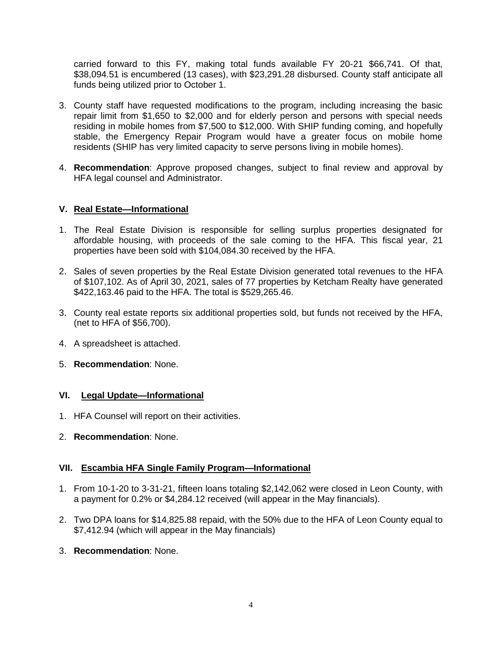carried forward to this FY, making total funds available FY 20-21 \$66,741. Of that, \$38,094.51 is encumbered (13 cases), with \$23,291.28 disbursed. County staff anticipate all funds being utilized prior to October 1.

- 3. County staff have requested modifications to the program, including increasing the basic repair limit from \$1,650 to \$2,000 and for elderly person and persons with special needs residing in mobile homes from \$7,500 to \$12,000. With SHIP funding coming, and hopefully stable, the Emergency Repair Program would have a greater focus on mobile home residents (SHIP has very limited capacity to serve persons living in mobile homes).
- 4. **Recommendation**: Approve proposed changes, subject to final review and approval by HFA legal counsel and Administrator.

#### **V. Real Estate—Informational**

- 1. The Real Estate Division is responsible for selling surplus properties designated for affordable housing, with proceeds of the sale coming to the HFA. This fiscal year, 21 properties have been sold with \$104,084.30 received by the HFA.
- 2. Sales of seven properties by the Real Estate Division generated total revenues to the HFA of \$107,102. As of April 30, 2021, sales of 77 properties by Ketcham Realty have generated \$422,163.46 paid to the HFA. The total is \$529,265.46.
- 3. County real estate reports six additional properties sold, but funds not received by the HFA, (net to HFA of \$56,700).
- 4. A spreadsheet is attached.
- 5. **Recommendation**: None.

#### **VI. Legal Update—Informational**

- 1. HFA Counsel will report on their activities.
- 2. **Recommendation**: None.

#### **VII. Escambia HFA Single Family Program—Informational**

- 1. From 10-1-20 to 3-31-21, fifteen loans totaling \$2,142,062 were closed in Leon County, with a payment for 0.2% or \$4,284.12 received (will appear in the May financials).
- 2. Two DPA loans for \$14,825.88 repaid, with the 50% due to the HFA of Leon County equal to \$7,412.94 (which will appear in the May financials)
- 3. **Recommendation**: None.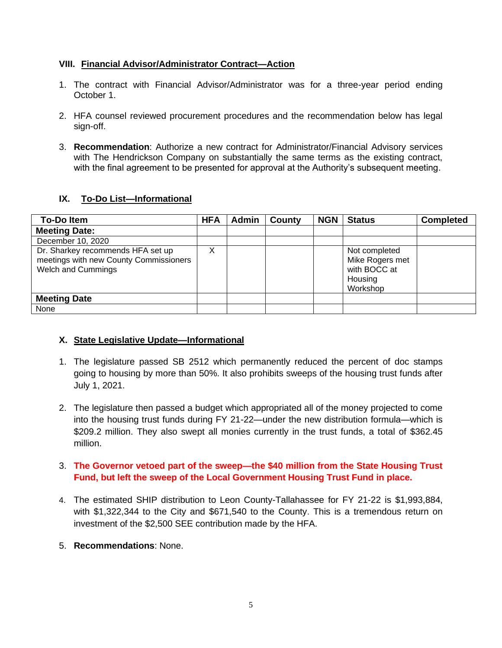#### **VIII. Financial Advisor/Administrator Contract—Action**

- 1. The contract with Financial Advisor/Administrator was for a three-year period ending October 1.
- 2. HFA counsel reviewed procurement procedures and the recommendation below has legal sign-off.
- 3. **Recommendation**: Authorize a new contract for Administrator/Financial Advisory services with The Hendrickson Company on substantially the same terms as the existing contract, with the final agreement to be presented for approval at the Authority's subsequent meeting.

### **IX. To-Do List—Informational**

| <b>To-Doltem</b>                                                                                         |  | Admin | County | <b>NGN</b> | <b>Status</b>                                                           | <b>Completed</b> |
|----------------------------------------------------------------------------------------------------------|--|-------|--------|------------|-------------------------------------------------------------------------|------------------|
| <b>Meeting Date:</b>                                                                                     |  |       |        |            |                                                                         |                  |
| December 10, 2020                                                                                        |  |       |        |            |                                                                         |                  |
| Dr. Sharkey recommends HFA set up<br>meetings with new County Commissioners<br><b>Welch and Cummings</b> |  |       |        |            | Not completed<br>Mike Rogers met<br>with BOCC at<br>Housing<br>Workshop |                  |
| <b>Meeting Date</b>                                                                                      |  |       |        |            |                                                                         |                  |
| None                                                                                                     |  |       |        |            |                                                                         |                  |

#### **X. State Legislative Update—Informational**

- 1. The legislature passed SB 2512 which permanently reduced the percent of doc stamps going to housing by more than 50%. It also prohibits sweeps of the housing trust funds after July 1, 2021.
- 2. The legislature then passed a budget which appropriated all of the money projected to come into the housing trust funds during FY 21-22—under the new distribution formula—which is \$209.2 million. They also swept all monies currently in the trust funds, a total of \$362.45 million.

# 3. **The Governor vetoed part of the sweep—the \$40 million from the State Housing Trust Fund, but left the sweep of the Local Government Housing Trust Fund in place.**

- 4. The estimated SHIP distribution to Leon County-Tallahassee for FY 21-22 is \$1,993,884, with \$1,322,344 to the City and \$671,540 to the County. This is a tremendous return on investment of the \$2,500 SEE contribution made by the HFA.
- 5. **Recommendations**: None.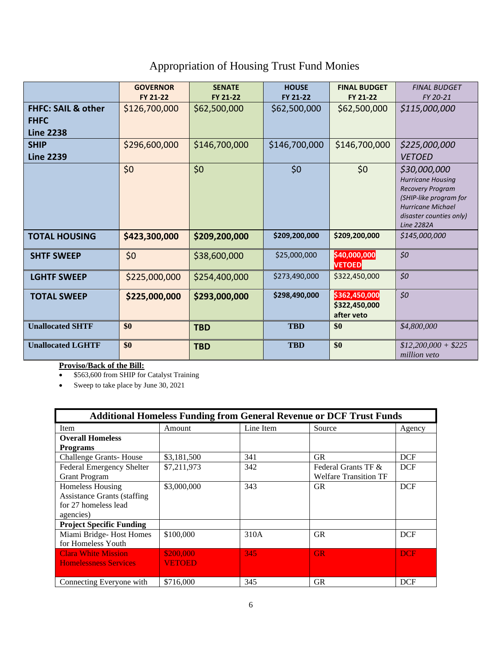# Appropriation of Housing Trust Fund Monies

|                                                                  | <b>GOVERNOR</b><br>FY 21-22 | <b>SENATE</b><br>FY 21-22 | <b>HOUSE</b><br>FY 21-22 | <b>FINAL BUDGET</b><br>FY 21-22              | <b>FINAL BUDGET</b><br>FY 20-21                                                                                                                                           |
|------------------------------------------------------------------|-----------------------------|---------------------------|--------------------------|----------------------------------------------|---------------------------------------------------------------------------------------------------------------------------------------------------------------------------|
| <b>FHFC: SAIL &amp; other</b><br><b>FHFC</b><br><b>Line 2238</b> | \$126,700,000               | \$62,500,000              | \$62,500,000             | \$62,500,000                                 | \$115,000,000                                                                                                                                                             |
| <b>SHIP</b><br><b>Line 2239</b>                                  | \$296,600,000               | \$146,700,000             | \$146,700,000            | \$146,700,000                                | \$225,000,000<br><b>VETOED</b>                                                                                                                                            |
|                                                                  | \$0                         | \$0                       | \$0                      | \$0                                          | \$30,000,000<br><b>Hurricane Housing</b><br><b>Recovery Program</b><br>(SHIP-like program for<br><b>Hurricane Michael</b><br>disaster counties only)<br><b>Line 2282A</b> |
| <b>TOTAL HOUSING</b>                                             | \$423,300,000               | \$209,200,000             | \$209,200,000            | \$209,200,000                                | \$145,000,000                                                                                                                                                             |
| <b>SHTF SWEEP</b>                                                | \$0                         | \$38,600,000              | \$25,000,000             | \$40,000,000<br><b>VETOED</b>                | \$0                                                                                                                                                                       |
| <b>LGHTF SWEEP</b>                                               | \$225,000,000               | \$254,400,000             | \$273,490,000            | \$322,450,000                                | \$0                                                                                                                                                                       |
| <b>TOTAL SWEEP</b>                                               | \$225,000,000               | \$293,000,000             | \$298,490,000            | \$362,450,000<br>\$322,450,000<br>after veto | \$0                                                                                                                                                                       |
| <b>Unallocated SHTF</b>                                          | \$0                         | <b>TBD</b>                | <b>TBD</b>               | \$0                                          | \$4,800,000                                                                                                                                                               |
| <b>Unallocated LGHTF</b>                                         | \$0                         | <b>TBD</b>                | <b>TBD</b>               | \$0                                          | $$12,200,000 + $225$<br><i>million</i> veto                                                                                                                               |

#### **Proviso/Back of the Bill:**

• \$563,600 from SHIP for Catalyst Training

• Sweep to take place by June 30, 2021

| <b>Additional Homeless Funding from General Revenue or DCF Trust Funds</b> |             |           |                              |            |  |
|----------------------------------------------------------------------------|-------------|-----------|------------------------------|------------|--|
| <b>Item</b>                                                                | Amount      | Line Item | Source                       | Agency     |  |
| <b>Overall Homeless</b>                                                    |             |           |                              |            |  |
| <b>Programs</b>                                                            |             |           |                              |            |  |
| <b>Challenge Grants-House</b>                                              | \$3,181,500 | 341       | <b>GR</b>                    | <b>DCF</b> |  |
| <b>Federal Emergency Shelter</b>                                           | \$7,211,973 | 342       | Federal Grants TF &          | <b>DCF</b> |  |
| <b>Grant Program</b>                                                       |             |           | <b>Welfare Transition TF</b> |            |  |
| <b>Homeless Housing</b>                                                    | \$3,000,000 | 343       | <b>GR</b>                    | <b>DCF</b> |  |
| <b>Assistance Grants (staffing</b>                                         |             |           |                              |            |  |
| for 27 homeless lead                                                       |             |           |                              |            |  |
| agencies)                                                                  |             |           |                              |            |  |
| <b>Project Specific Funding</b>                                            |             |           |                              |            |  |
| Miami Bridge-Host Homes                                                    | \$100,000   | 310A      | <b>GR</b>                    | <b>DCF</b> |  |
| for Homeless Youth                                                         |             |           |                              |            |  |
| <b>Clara White Mission</b>                                                 | \$200,000   | 345       | <b>GR</b>                    | <b>DCF</b> |  |
| <b>Homelessness Services</b>                                               | VETOED      |           |                              |            |  |
|                                                                            |             |           |                              |            |  |
| Connecting Everyone with                                                   | \$716,000   | 345       | <b>GR</b>                    | <b>DCF</b> |  |